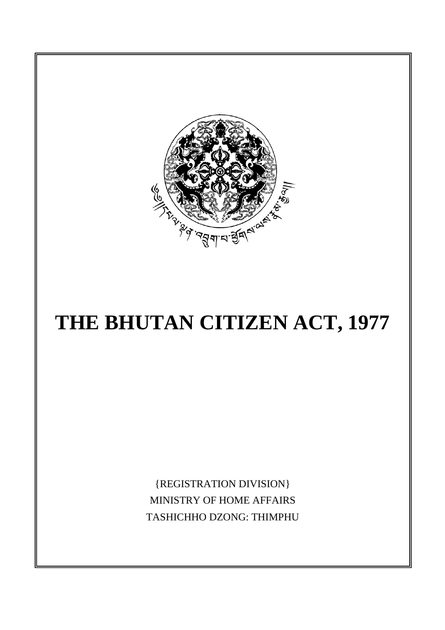

# **THE BHUTAN CITIZEN ACT, 1977**

{REGISTRATION DIVISION} MINISTRY OF HOME AFFAIRS TASHICHHO DZONG: THIMPHU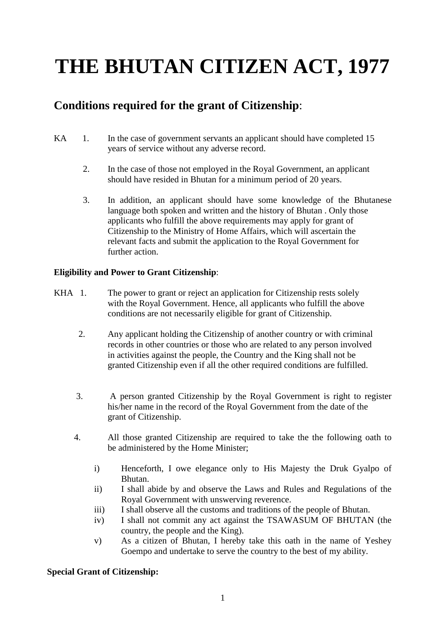# **THE BHUTAN CITIZEN ACT, 1977**

# **Conditions required for the grant of Citizenship**:

- KA 1. In the case of government servants an applicant should have completed 15 years of service without any adverse record.
	- 2. In the case of those not employed in the Royal Government, an applicant should have resided in Bhutan for a minimum period of 20 years.
	- 3. In addition, an applicant should have some knowledge of the Bhutanese language both spoken and written and the history of Bhutan . Only those applicants who fulfill the above requirements may apply for grant of Citizenship to the Ministry of Home Affairs, which will ascertain the relevant facts and submit the application to the Royal Government for further action.

## **Eligibility and Power to Grant Citizenship**:

- KHA 1. The power to grant or reject an application for Citizenship rests solely with the Royal Government. Hence, all applicants who fulfill the above conditions are not necessarily eligible for grant of Citizenship.
	- 2. Any applicant holding the Citizenship of another country or with criminal records in other countries or those who are related to any person involved in activities against the people, the Country and the King shall not be granted Citizenship even if all the other required conditions are fulfilled.
	- 3. A person granted Citizenship by the Royal Government is right to register his/her name in the record of the Royal Government from the date of the grant of Citizenship.
	- 4. All those granted Citizenship are required to take the the following oath to be administered by the Home Minister;
		- i) Henceforth, I owe elegance only to His Majesty the Druk Gyalpo of Bhutan.
		- ii) I shall abide by and observe the Laws and Rules and Regulations of the Royal Government with unswerving reverence.
		- iii) I shall observe all the customs and traditions of the people of Bhutan.
		- iv) I shall not commit any act against the TSAWASUM OF BHUTAN (the country, the people and the King).
		- v) As a citizen of Bhutan, I hereby take this oath in the name of Yeshey Goempo and undertake to serve the country to the best of my ability.

#### **Special Grant of Citizenship:**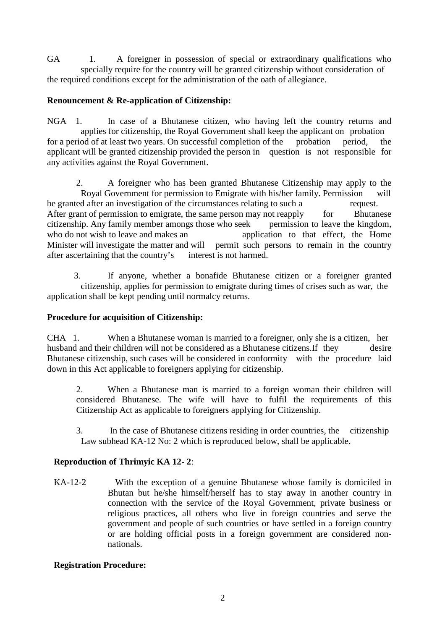GA 1. A foreigner in possession of special or extraordinary qualifications who specially require for the country will be granted citizenship without consideration of the required conditions except for the administration of the oath of allegiance.

## **Renouncement & Re-application of Citizenship:**

NGA 1. In case of a Bhutanese citizen, who having left the country returns and applies for citizenship, the Royal Government shall keep the applicant on probation for a period of at least two years. On successful completion of the probation period, the applicant will be granted citizenship provided the person in question is not responsible for any activities against the Royal Government.

 2. A foreigner who has been granted Bhutanese Citizenship may apply to the Royal Government for permission to Emigrate with his/her family. Permission will be granted after an investigation of the circumstances relating to such a request. After grant of permission to emigrate, the same person may not reapply for Bhutanese citizenship. Any family member amongs those who seek permission to leave the kingdom, who do not wish to leave and makes an application to that effect, the Home Minister will investigate the matter and will permit such persons to remain in the country after ascertaining that the country's interest is not harmed.

 3. If anyone, whether a bonafide Bhutanese citizen or a foreigner granted citizenship, applies for permission to emigrate during times of crises such as war, the application shall be kept pending until normalcy returns.

#### **Procedure for acquisition of Citizenship:**

CHA 1. When a Bhutanese woman is married to a foreigner, only she is a citizen, her husband and their children will not be considered as a Bhutanese citizens.If they desire Bhutanese citizenship, such cases will be considered in conformity with the procedure laid down in this Act applicable to foreigners applying for citizenship.

2. When a Bhutanese man is married to a foreign woman their children will considered Bhutanese. The wife will have to fulfil the requirements of this Citizenship Act as applicable to foreigners applying for Citizenship.

 3. In the case of Bhutanese citizens residing in order countries, the citizenship Law subhead KA-12 No: 2 which is reproduced below, shall be applicable.

#### **Reproduction of Thrimyic KA 12- 2**:

KA-12-2 With the exception of a genuine Bhutanese whose family is domiciled in Bhutan but he/she himself/herself has to stay away in another country in connection with the service of the Royal Government, private business or religious practices, all others who live in foreign countries and serve the government and people of such countries or have settled in a foreign country or are holding official posts in a foreign government are considered nonnationals.

#### **Registration Procedure:**